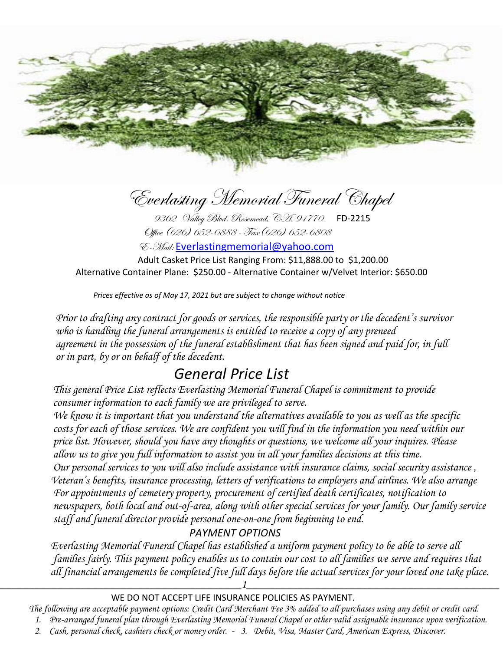

Everlasting Memorial Funeral Chapel<br>9362 Valley Blvd. Rosemead, CA. 91770 FD-2215

Office (626) 652-0888 - Fax(626) 652-6808

E-Mail: [Everlastingmemorial@yahoo.com](mailto:Everlastingmemorial@yahoo.com)

 Adult Casket Price List Ranging From: \$11,888.00 to \$1,200.00 Alternative Container Plane: \$250.00 - Alternative Container w/Velvet Interior: \$650.00

*Prices effective as of May 17, 2021 but are subject to change without notice*

 *Prior to drafting any contract for goods or services, the responsible party or the decedent's survivor who is handling the funeral arrangements is entitled to receive a copy of any preneed agreement in the possession of the funeral establishment that has been signed and paid for, in full or in part, by or on behalf of the decedent.* 

# *General Price List*

 *This general Price List reflects Everlasting Memorial Funeral Chapel is commitment to provide consumer information to each family we are privileged to serve.*

 *We know it is important that you understand the alternatives available to you as well as the specific costs for each of those services. We are confident you will find in the information you need within our price list. However, should you have any thoughts or questions, we welcome all your inquires. Please allow us to give you full information to assist you in all your families decisions at this time. Our personal services to you will also include assistance with insurance claims, social security assistance , Veteran's benefits, insurance processing, letters of verifications to employers and airlines. We also arrange For appointments of cemetery property, procurement of certified death certificates, notification to newspapers, both local and out-of-area, along with other special services for your family. Our family service staff and funeral director provide personal one-on-one from beginning to end.*

## *PAYMENT OPTIONS*

 *Everlasting Memorial Funeral Chapel has established a uniform payment policy to be able to serve all families fairly. This payment policy enables us to contain our cost to all families we serve and requires that all financial arrangements be completed five full days before the actual services for your loved one take place.*

WE DO NOT ACCEPT LIFE INSURANCE POLICIES AS PAYMENT.

*The following are acceptable payment options: Credit Card Merchant Fee 3% added to all purchases using any debit or credit card.* 

*\_\_\_\_\_\_\_\_\_\_\_\_\_\_\_\_\_\_\_\_\_\_\_\_\_\_\_\_\_\_\_\_\_\_\_\_\_\_\_\_\_\_1\_\_\_\_\_\_\_\_\_\_\_\_\_\_\_\_\_\_\_\_\_\_\_\_\_\_\_\_\_\_\_\_\_\_\_\_\_\_\_\_\_\_\_\_*

- *1. Pre-arranged funeral plan through Everlasting Memorial Funeral Chapel or other valid assignable insurance upon verification.*
- *2. Cash, personal check, cashiers check or money order. 3. Debit, Visa, Master Card, American Express, Discover.*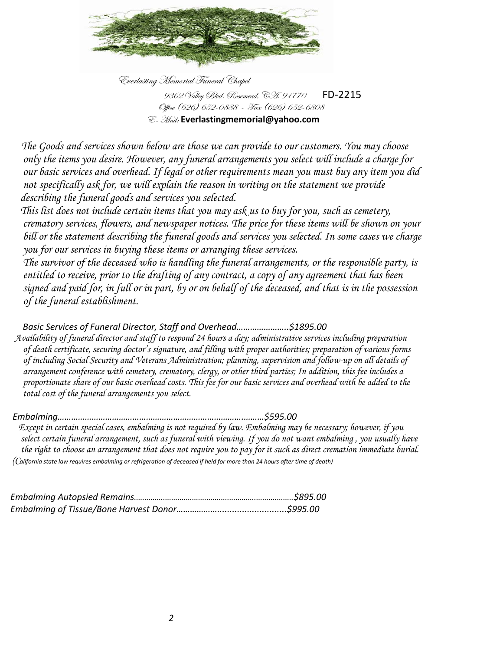

Everlasting Memorial Funeral Chapel 9362 Valley Blvd. Rosemead, C.H. 91770 FD-2215 Office (626) 652-0888 - Fax (626) 652-6808 E- Mail: **Everlastingmemorial@yahoo.com**

 *The Goods and services shown below are those we can provide to our customers. You may choose only the items you desire. However, any funeral arrangements you select will include a charge for our basic services and overhead. If legal or other requirements mean you must buy any item you did not specifically ask for, we will explain the reason in writing on the statement we provide describing the funeral goods and services you selected.*

 *This list does not include certain items that you may ask us to buy for you, such as cemetery, crematory services, flowers, and newspaper notices. The price for these items will be shown on your bill or the statement describing the funeral goods and services you selected. In some cases we charge you for our services in buying these items or arranging these services.*

 *The survivor of the deceased who is handling the funeral arrangements, or the responsible party, is entitled to receive, prior to the drafting of any contract, a copy of any agreement that has been signed and paid for, in full or in part, by or on behalf of the deceased, and that is in the possession of the funeral establishment.*

 *Basic Services of Funeral Director, Staff and Overhead…………………..\$1895.00 Availability of funeral director and staff to respond 24 hours a day; administrative services including preparation of death certificate, securing doctor's signature, and filling with proper authorities; preparation of various forms of including Social Security and Veterans Administration; planning, supervision and follow-up on all details of arrangement conference with cemetery, crematory, clergy, or other third parties; In addition, this fee includes a proportionate share of our basic overhead costs. This fee for our basic services and overhead with be added to the total cost of the funeral arrangements you select.* 

 *Embalming……………………………………………………………………….………\$595.00* 

 *Except in certain special cases, embalming is not required by law. Embalming may be necessary; however, if you select certain funeral arrangement, such as funeral with viewing. If you do not want embalming , you usually have the right to choose an arrangement that does not require you to pay for it such as direct cremation immediate burial. (California state law requires embalming or refrigeration of deceased if held for more than 24 hours after time of death)*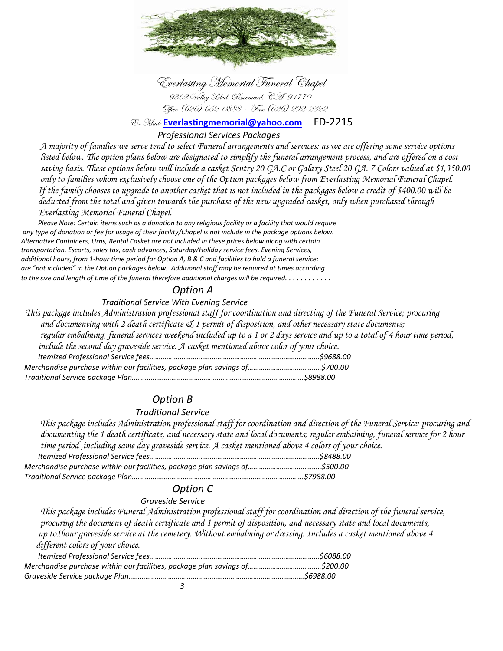

 Everlasting Memorial Funeral Chapel 9362 Valley Blvd. Rosemead, CA. 91770 Office (626) 652-0888 - Fax (626) 292-2322

E- Mail: **[Everlastingmemorial@yahoo.com](mailto:Everlastingmemorial@yahoo.com)** FD-2215

#### *Professional Services Packages*

 *A majority of families we serve tend to select Funeral arrangements and services: as we are offering some service options listed below. The option plans below are designated to simplify the funeral arrangement process, and are offered on a cost saving basis. These options below will include a casket Sentry 20 GA.C or Galaxy Steel 20 GA. 7 Colors valued at \$1,350.00 only to families whom exclusively choose one of the Option packages below from Everlasting Memorial Funeral Chapel. If the family chooses to upgrade to another casket that is not included in the packages below a credit of \$400.00 will be deducted from the total and given towards the purchase of the new upgraded casket, only when purchased through Everlasting Memorial Funeral Chapel.* 

 *Please Note: Certain items such as a donation to any religious facility or a facility that would require any type of donation or fee for usage of their facility/Chapel is not include in the package options below. Alternative Containers, Urns, Rental Casket are not included in these prices below along with certain transportation, Escorts, sales tax, cash advances, Saturday/Holiday service fees, Evening Services, additional hours, from 1-hour time period for Option A, B & C and facilities to hold a funeral service: are "not included" in the Option packages below. Additional staff may be required at times according to the size and length of time of the funeral therefore additional charges will be required. . . . . . . . . . . . .* 

#### *Option A*

 *Traditional Service With Evening Service* 

 *This package includes Administration professional staff for coordination and directing of the Funeral Service; procuring and documenting with 2 death certificate & 1 permit of disposition, and other necessary state documents; regular embalming, funeral services weekend included up to a 1 or 2 days service and up to a total of 4 hour time period, include the second day graveside service. A casket mentioned above color of your choice. Itemized Professional Service fees………………………………………………………………………………\$9688.00 Merchandise purchase within our facilities, package plan savings of…………………………………\$700.00 Traditional Service package Plan……………………………………………………………………………….\$8988.00*

## *Option B*

#### *Traditional Service*

 *This package includes Administration professional staff for coordination and direction of the Funeral Service; procuring and documenting the 1 death certificate, and necessary state and local documents; regular embalming, funeral service for 2 hour time period ,including same day graveside service. A casket mentioned above 4 colors of your choice. Itemized Professional Service fees………………………………………………………………………………\$8488.00 Merchandise purchase within our facilities, package plan savings of…………………………………\$500.00 Traditional Service package Plan……………………………………………………………………………….\$7988.00*

## *Option C*

#### *Graveside Service*

 *This package includes Funeral Administration professional staff for coordination and direction of the funeral service, procuring the document of death certificate and 1 permit of disposition, and necessary state and local documents, up to1hour graveside service at the cemetery. Without embalming or dressing. Includes a casket mentioned above 4 different colors of your choice.*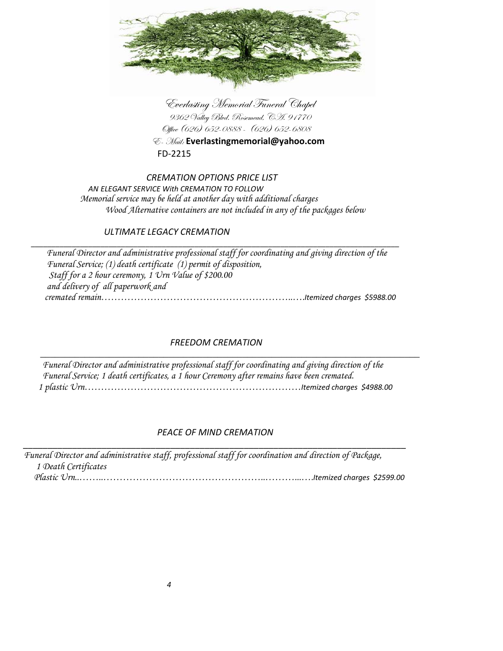

 Everlasting Memorial Funeral Chapel 9362 Valley Blvd. Rosemead, CA. 91770 Office (626) 652-0888 - (626) 652-6808

 E- Mail: **Everlastingmemorial@yahoo.com** FD-2215

#### *CREMATION OPTIONS PRICE LIST AN ELEGANT SERVICE With CREMATION TO FOLLOW Memorial service may be held at another day with additional charges Wood Alternative containers are not included in any of the packages below*

## *ULTIMATE LEGACY CREMATION*

 *\_\_\_\_\_\_\_\_\_\_\_\_\_\_\_\_\_\_\_\_\_\_\_\_\_\_\_\_\_\_\_\_\_\_\_\_\_\_\_\_\_\_\_\_\_\_\_\_\_\_\_\_\_\_\_\_\_\_\_\_\_\_\_\_\_\_\_\_\_\_\_\_\_\_\_\_\_\_\_\_\_\_\_\_\_\_\_\_\_\_ Funeral Director and administrative professional staff for coordinating and giving direction of the Funeral Service; (1) death certificate (1) permit of disposition, Staff for a 2 hour ceremony, 1 Urn Value of \$200.00 and delivery of all paperwork and cremated remain…………………………………………………..….Itemized charges \$5988.00* 

## *FREEDOM CREMATION*

 *\_\_\_\_\_\_\_\_\_\_\_\_\_\_\_\_\_\_\_\_\_\_\_\_\_\_\_\_\_\_\_\_\_\_\_\_\_\_\_\_\_\_\_\_\_\_\_\_\_\_\_\_\_\_\_\_\_\_\_\_\_\_\_\_\_\_\_\_\_\_\_\_\_\_\_\_\_ Funeral Director and administrative professional staff for coordinating and giving direction of the Funeral Service; 1 death certificates, a 1 hour Ceremony after remains have been cremated. 1 plastic Urn…………………………………………………………Itemized charges \$4988.00*

## *PEACE OF MIND CREMATION*

|                      | Funeral Director and administrative staff, professional staff for coordination and direction of Package, |
|----------------------|----------------------------------------------------------------------------------------------------------|
| 1 Death Certificates |                                                                                                          |
|                      |                                                                                                          |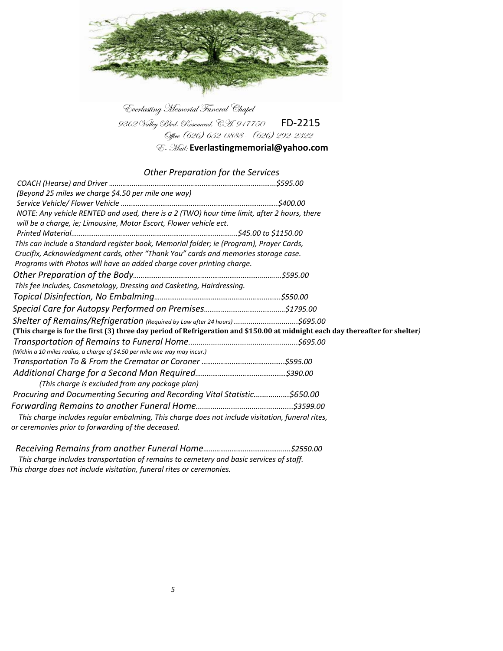

Everlasting Memorial Funeral Chapel 9362 Valley Blvd. Rosemead, C.H. 917750 FD-2215 Office (626) 652-0888 - (626) 292-2322

E- Mail: **Everlastingmemorial@yahoo.com**

### *Other Preparation for the Services*

| (Beyond 25 miles we charge \$4.50 per mile one way)                                                                                                               |  |
|-------------------------------------------------------------------------------------------------------------------------------------------------------------------|--|
|                                                                                                                                                                   |  |
| NOTE: Any vehicle RENTED and used, there is a 2 (TWO) hour time limit, after 2 hours, there<br>will be a charge, ie; Limousine, Motor Escort, Flower vehicle ect. |  |
|                                                                                                                                                                   |  |
| This can include a Standard register book, Memorial folder; ie (Program), Prayer Cards,                                                                           |  |
| Crucifix, Acknowledgment cards, other "Thank You" cards and memories storage case.                                                                                |  |
| Programs with Photos will have an added charge cover printing charge.                                                                                             |  |
|                                                                                                                                                                   |  |
| This fee includes, Cosmetology, Dressing and Casketing, Hairdressing.                                                                                             |  |
|                                                                                                                                                                   |  |
|                                                                                                                                                                   |  |
| Shelter of Remains/Refrigeration (Required by Law after 24 hours) \$695.00                                                                                        |  |
| (This charge is for the first (3) three day period of Refrigeration and \$150.00 at midnight each day thereafter for shelter)                                     |  |
|                                                                                                                                                                   |  |
| (Within a 10 miles radius, a charge of \$4.50 per mile one way may incur.)                                                                                        |  |
|                                                                                                                                                                   |  |
|                                                                                                                                                                   |  |
| (This charge is excluded from any package plan)                                                                                                                   |  |
| Procuring and Documenting Securing and Recording Vital Statistic\$650.00                                                                                          |  |
|                                                                                                                                                                   |  |
| This charge includes regular embalming, This charge does not include visitation, funeral rites,                                                                   |  |
| or ceremonies prior to forwarding of the deceased.                                                                                                                |  |
|                                                                                                                                                                   |  |

 *Receiving Remains from another Funeral Home…………………………………..…..\$2550.00 This charge includes transportation of remains to cemetery and basic services of staff. This charge does not include visitation, funeral rites or ceremonies.*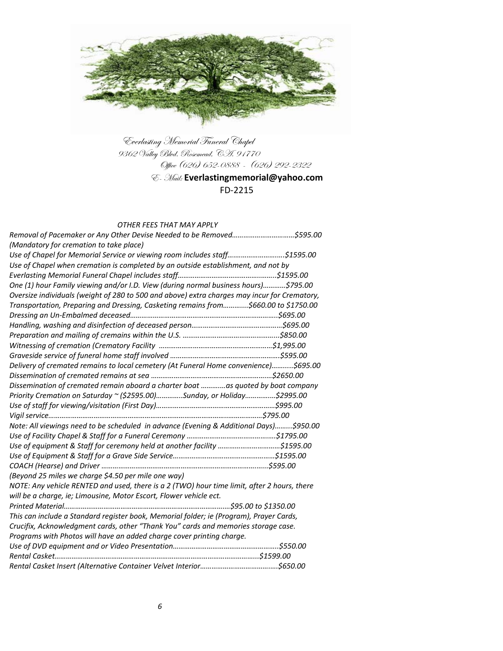

Everlasting Memorial Funeral Chapel 9362 Valley Blvd. Rosemead, CA. 91770 Office (626) 652-0888 - (626) 292-2322

## E- Mail: **Everlastingmemorial@yahoo.com** FD-2215

#### *OTHER FEES THAT MAY APPLY*

| Removal of Pacemaker or Any Other Devise Needed to be Removed\$595.00                        |  |
|----------------------------------------------------------------------------------------------|--|
| (Mandatory for cremation to take place)                                                      |  |
| Use of Chapel for Memorial Service or viewing room includes staff\$1595.00                   |  |
| Use of Chapel when cremation is completed by an outside establishment, and not by            |  |
|                                                                                              |  |
| One (1) hour Family viewing and/or I.D. View (during normal business hours)\$795.00          |  |
| Oversize individuals (weight of 280 to 500 and above) extra charges may incur for Crematory, |  |
| Transportation, Preparing and Dressing, Casketing remains from\$660.00 to \$1750.00          |  |
|                                                                                              |  |
|                                                                                              |  |
|                                                                                              |  |
|                                                                                              |  |
|                                                                                              |  |
| Delivery of cremated remains to local cemetery (At Funeral Home convenience)\$695.00         |  |
|                                                                                              |  |
| Dissemination of cremated remain aboard a charter boat as quoted by boat company             |  |
| Priority Cremation on Saturday ~ (\$2595.00)Sunday, or Holiday\$2995.00                      |  |
|                                                                                              |  |
|                                                                                              |  |
| Note: All viewings need to be scheduled in advance (Evening & Additional Days)\$950.00       |  |
|                                                                                              |  |
| Use of equipment & Staff for ceremony held at another facility \$1595.00                     |  |
|                                                                                              |  |
|                                                                                              |  |
| (Beyond 25 miles we charge \$4.50 per mile one way)                                          |  |
| NOTE: Any vehicle RENTED and used, there is a 2 (TWO) hour time limit, after 2 hours, there  |  |
| will be a charge, ie; Limousine, Motor Escort, Flower vehicle ect.                           |  |
|                                                                                              |  |
| This can include a Standard register book, Memorial folder; ie (Program), Prayer Cards,      |  |
| Crucifix, Acknowledgment cards, other "Thank You" cards and memories storage case.           |  |
| Programs with Photos will have an added charge cover printing charge.                        |  |
|                                                                                              |  |
|                                                                                              |  |
|                                                                                              |  |